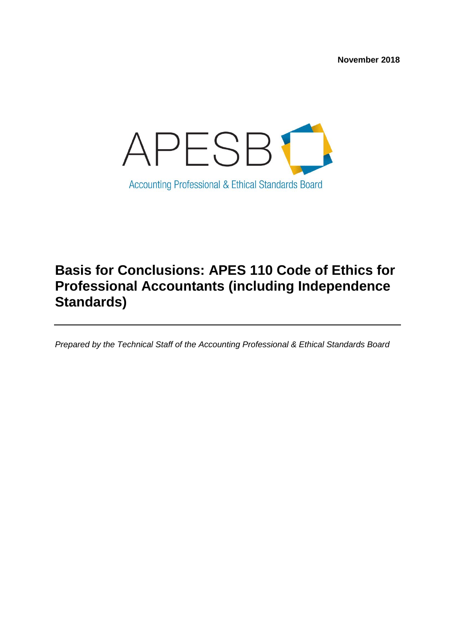**November 2018**



# **Basis for Conclusions: APES 110 Code of Ethics for Professional Accountants (including Independence Standards)**

*Prepared by the Technical Staff of the Accounting Professional & Ethical Standards Board*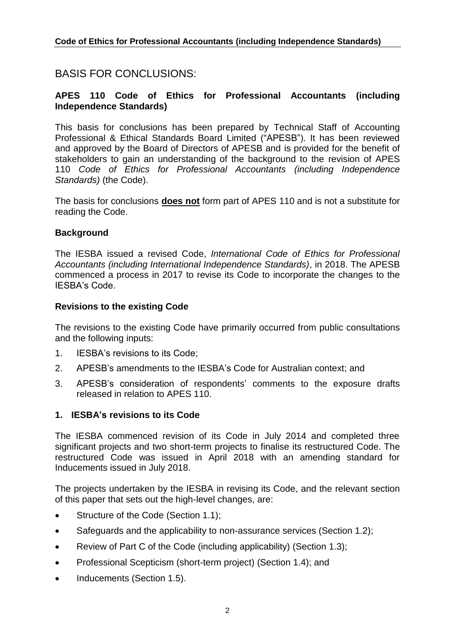## BASIS FOR CONCLUSIONS:

## **APES 110 Code of Ethics for Professional Accountants (including Independence Standards)**

This basis for conclusions has been prepared by Technical Staff of Accounting Professional & Ethical Standards Board Limited ("APESB"). It has been reviewed and approved by the Board of Directors of APESB and is provided for the benefit of stakeholders to gain an understanding of the background to the revision of APES 110 *Code of Ethics for Professional Accountants (including Independence Standards)* (the Code).

The basis for conclusions **does not** form part of APES 110 and is not a substitute for reading the Code.

#### **Background**

The IESBA issued a revised Code, *International Code of Ethics for Professional Accountants (including International Independence Standards)*, in 2018. The APESB commenced a process in 2017 to revise its Code to incorporate the changes to the IESBA's Code.

#### **Revisions to the existing Code**

The revisions to the existing Code have primarily occurred from public consultations and the following inputs:

- 1. IESBA's revisions to its Code;
- 2. APESB's amendments to the IESBA's Code for Australian context; and
- 3. APESB's consideration of respondents' comments to the exposure drafts released in relation to APES 110.

#### **1. IESBA's revisions to its Code**

The IESBA commenced revision of its Code in July 2014 and completed three significant projects and two short-term projects to finalise its restructured Code. The restructured Code was issued in April 2018 with an amending standard for Inducements issued in July 2018.

The projects undertaken by the IESBA in revising its Code, and the relevant section of this paper that sets out the high-level changes, are:

- Structure of the Code (Section 1.1);
- Safeguards and the applicability to non-assurance services (Section 1.2);
- Review of Part C of the Code (including applicability) (Section 1.3);
- Professional Scepticism (short-term project) (Section 1.4); and
- Inducements (Section 1.5).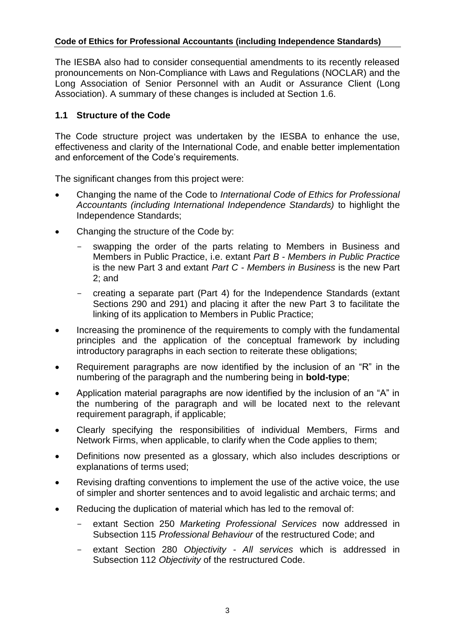The IESBA also had to consider consequential amendments to its recently released pronouncements on Non-Compliance with Laws and Regulations (NOCLAR) and the Long Association of Senior Personnel with an Audit or Assurance Client (Long Association). A summary of these changes is included at Section 1.6.

## **1.1 Structure of the Code**

The Code structure project was undertaken by the IESBA to enhance the use, effectiveness and clarity of the International Code, and enable better implementation and enforcement of the Code's requirements.

The significant changes from this project were:

- Changing the name of the Code to *International Code of Ethics for Professional Accountants (including International Independence Standards)* to highlight the Independence Standards;
- Changing the structure of the Code by:
	- swapping the order of the parts relating to Members in Business and Members in Public Practice, i.e. extant *Part B - Members in Public Practice* is the new Part 3 and extant *Part C - Members in Business* is the new Part 2; and
	- creating a separate part (Part 4) for the Independence Standards (extant Sections 290 and 291) and placing it after the new Part 3 to facilitate the linking of its application to Members in Public Practice;
- Increasing the prominence of the requirements to comply with the fundamental principles and the application of the conceptual framework by including introductory paragraphs in each section to reiterate these obligations;
- Requirement paragraphs are now identified by the inclusion of an "R" in the numbering of the paragraph and the numbering being in **bold-type**;
- Application material paragraphs are now identified by the inclusion of an "A" in the numbering of the paragraph and will be located next to the relevant requirement paragraph, if applicable;
- Clearly specifying the responsibilities of individual Members, Firms and Network Firms, when applicable, to clarify when the Code applies to them;
- Definitions now presented as a glossary, which also includes descriptions or explanations of terms used;
- Revising drafting conventions to implement the use of the active voice, the use of simpler and shorter sentences and to avoid legalistic and archaic terms; and
- Reducing the duplication of material which has led to the removal of:
	- extant Section 250 *Marketing Professional Services* now addressed in Subsection 115 *Professional Behaviour* of the restructured Code; and
	- extant Section 280 *Objectivity - All services* which is addressed in Subsection 112 *Objectivity* of the restructured Code.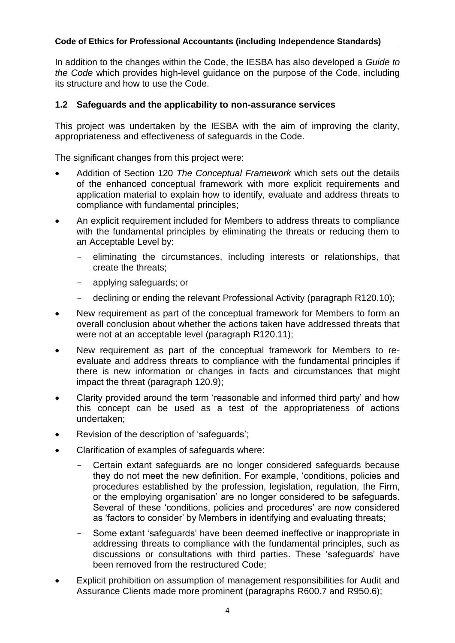In addition to the changes within the Code, the IESBA has also developed a *Guide to the Code* which provides high-level guidance on the purpose of the Code, including its structure and how to use the Code.

## **1.2 Safeguards and the applicability to non-assurance services**

This project was undertaken by the IESBA with the aim of improving the clarity, appropriateness and effectiveness of safeguards in the Code.

The significant changes from this project were:

- Addition of Section 120 *The Conceptual Framework* which sets out the details of the enhanced conceptual framework with more explicit requirements and application material to explain how to identify, evaluate and address threats to compliance with fundamental principles;
- An explicit requirement included for Members to address threats to compliance with the fundamental principles by eliminating the threats or reducing them to an Acceptable Level by:
	- eliminating the circumstances, including interests or relationships, that create the threats;
	- applying safeguards; or
	- declining or ending the relevant Professional Activity (paragraph R120.10);
- New requirement as part of the conceptual framework for Members to form an overall conclusion about whether the actions taken have addressed threats that were not at an acceptable level (paragraph R120.11);
- New requirement as part of the conceptual framework for Members to reevaluate and address threats to compliance with the fundamental principles if there is new information or changes in facts and circumstances that might impact the threat (paragraph 120.9);
- Clarity provided around the term 'reasonable and informed third party' and how this concept can be used as a test of the appropriateness of actions undertaken;
- Revision of the description of 'safeguards';
- Clarification of examples of safeguards where:
	- Certain extant safeguards are no longer considered safeguards because they do not meet the new definition. For example, 'conditions, policies and procedures established by the profession, legislation, regulation, the Firm, or the employing organisation' are no longer considered to be safeguards. Several of these 'conditions, policies and procedures' are now considered as 'factors to consider' by Members in identifying and evaluating threats;
	- Some extant 'safeguards' have been deemed ineffective or inappropriate in addressing threats to compliance with the fundamental principles, such as discussions or consultations with third parties. These 'safeguards' have been removed from the restructured Code;
- Explicit prohibition on assumption of management responsibilities for Audit and Assurance Clients made more prominent (paragraphs R600.7 and R950.6);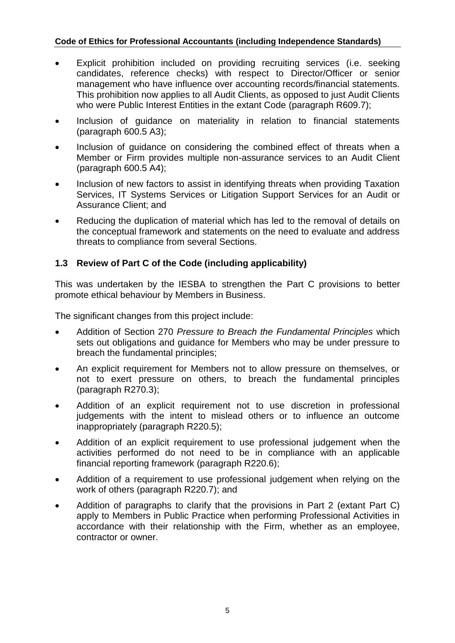- Explicit prohibition included on providing recruiting services (i.e. seeking candidates, reference checks) with respect to Director/Officer or senior management who have influence over accounting records/financial statements. This prohibition now applies to all Audit Clients, as opposed to just Audit Clients who were Public Interest Entities in the extant Code (paragraph R609.7);
- Inclusion of guidance on materiality in relation to financial statements (paragraph 600.5 A3);
- Inclusion of guidance on considering the combined effect of threats when a Member or Firm provides multiple non-assurance services to an Audit Client (paragraph 600.5 A4);
- Inclusion of new factors to assist in identifying threats when providing Taxation Services, IT Systems Services or Litigation Support Services for an Audit or Assurance Client; and
- Reducing the duplication of material which has led to the removal of details on the conceptual framework and statements on the need to evaluate and address threats to compliance from several Sections.

## **1.3 Review of Part C of the Code (including applicability)**

This was undertaken by the IESBA to strengthen the Part C provisions to better promote ethical behaviour by Members in Business.

The significant changes from this project include:

- Addition of Section 270 *Pressure to Breach the Fundamental Principles* which sets out obligations and guidance for Members who may be under pressure to breach the fundamental principles;
- An explicit requirement for Members not to allow pressure on themselves, or not to exert pressure on others, to breach the fundamental principles (paragraph R270.3);
- Addition of an explicit requirement not to use discretion in professional judgements with the intent to mislead others or to influence an outcome inappropriately (paragraph R220.5);
- Addition of an explicit requirement to use professional judgement when the activities performed do not need to be in compliance with an applicable financial reporting framework (paragraph R220.6);
- Addition of a requirement to use professional judgement when relying on the work of others (paragraph R220.7); and
- Addition of paragraphs to clarify that the provisions in Part 2 (extant Part C) apply to Members in Public Practice when performing Professional Activities in accordance with their relationship with the Firm, whether as an employee, contractor or owner.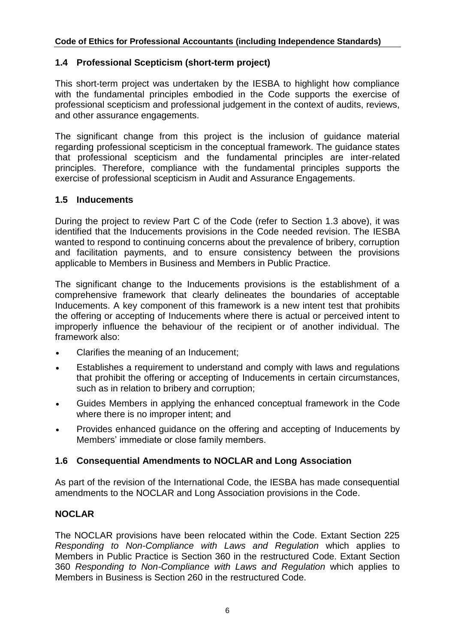## **1.4 Professional Scepticism (short-term project)**

This short-term project was undertaken by the IESBA to highlight how compliance with the fundamental principles embodied in the Code supports the exercise of professional scepticism and professional judgement in the context of audits, reviews, and other assurance engagements.

The significant change from this project is the inclusion of guidance material regarding professional scepticism in the conceptual framework. The guidance states that professional scepticism and the fundamental principles are inter-related principles. Therefore, compliance with the fundamental principles supports the exercise of professional scepticism in Audit and Assurance Engagements.

## **1.5 Inducements**

During the project to review Part C of the Code (refer to Section 1.3 above), it was identified that the Inducements provisions in the Code needed revision. The IESBA wanted to respond to continuing concerns about the prevalence of bribery, corruption and facilitation payments, and to ensure consistency between the provisions applicable to Members in Business and Members in Public Practice.

The significant change to the Inducements provisions is the establishment of a comprehensive framework that clearly delineates the boundaries of acceptable Inducements. A key component of this framework is a new intent test that prohibits the offering or accepting of Inducements where there is actual or perceived intent to improperly influence the behaviour of the recipient or of another individual. The framework also:

- Clarifies the meaning of an Inducement;
- Establishes a requirement to understand and comply with laws and regulations that prohibit the offering or accepting of Inducements in certain circumstances, such as in relation to bribery and corruption;
- Guides Members in applying the enhanced conceptual framework in the Code where there is no improper intent; and
- Provides enhanced guidance on the offering and accepting of Inducements by Members' immediate or close family members.

## **1.6 Consequential Amendments to NOCLAR and Long Association**

As part of the revision of the International Code, the IESBA has made consequential amendments to the NOCLAR and Long Association provisions in the Code.

## **NOCLAR**

The NOCLAR provisions have been relocated within the Code. Extant Section 225 *Responding to Non-Compliance with Laws and Regulation* which applies to Members in Public Practice is Section 360 in the restructured Code. Extant Section 360 *Responding to Non-Compliance with Laws and Regulation* which applies to Members in Business is Section 260 in the restructured Code.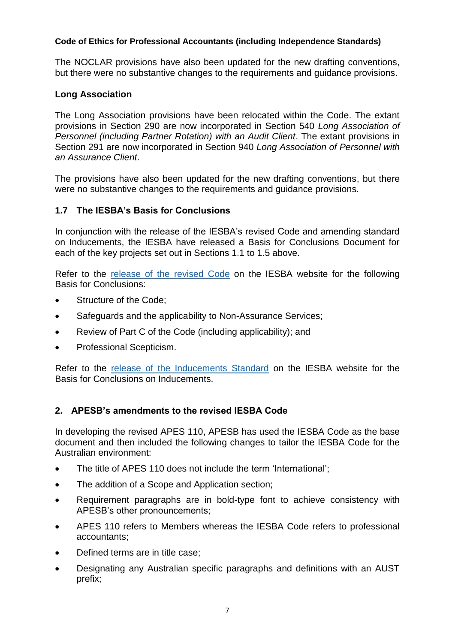The NOCLAR provisions have also been updated for the new drafting conventions, but there were no substantive changes to the requirements and guidance provisions.

## **Long Association**

The Long Association provisions have been relocated within the Code. The extant provisions in Section 290 are now incorporated in Section 540 *Long Association of Personnel (including Partner Rotation) with an Audit Client*. The extant provisions in Section 291 are now incorporated in Section 940 *Long Association of Personnel with an Assurance Client*.

The provisions have also been updated for the new drafting conventions, but there were no substantive changes to the requirements and guidance provisions.

## **1.7 The IESBA's Basis for Conclusions**

In conjunction with the release of the IESBA's revised Code and amending standard on Inducements, the IESBA have released a Basis for Conclusions Document for each of the key projects set out in Sections 1.1 to 1.5 above.

Refer to the [release of the revised](https://www.ifac.org/publications-resources/final-pronouncement-restructured-code) Code on the IESBA website for the following Basis for Conclusions:

- Structure of the Code:
- Safeguards and the applicability to Non-Assurance Services;
- Review of Part C of the Code (including applicability); and
- Professional Scepticism.

Refer to the [release of the Inducements Standard](https://www.ifac.org/publications-resources/final-pronouncement-revisions-code-pertaining-offering-and-accepting) on the IESBA website for the Basis for Conclusions on Inducements.

## **2. APESB's amendments to the revised IESBA Code**

In developing the revised APES 110, APESB has used the IESBA Code as the base document and then included the following changes to tailor the IESBA Code for the Australian environment:

- The title of APES 110 does not include the term 'International';
- The addition of a Scope and Application section;
- Requirement paragraphs are in bold-type font to achieve consistency with APESB's other pronouncements;
- APES 110 refers to Members whereas the IESBA Code refers to professional accountants;
- Defined terms are in title case;
- Designating any Australian specific paragraphs and definitions with an AUST prefix;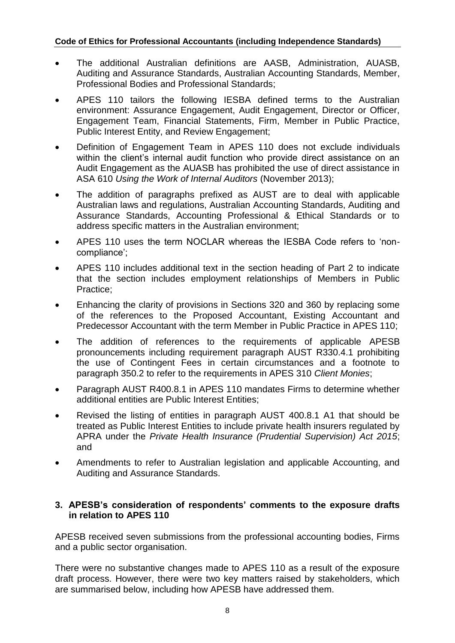- The additional Australian definitions are AASB, Administration, AUASB, Auditing and Assurance Standards, Australian Accounting Standards, Member, Professional Bodies and Professional Standards;
- APES 110 tailors the following IESBA defined terms to the Australian environment: Assurance Engagement, Audit Engagement, Director or Officer, Engagement Team, Financial Statements, Firm, Member in Public Practice, Public Interest Entity, and Review Engagement;
- Definition of Engagement Team in APES 110 does not exclude individuals within the client's internal audit function who provide direct assistance on an Audit Engagement as the AUASB has prohibited the use of direct assistance in ASA 610 *Using the Work of Internal Auditors* (November 2013);
- The addition of paragraphs prefixed as AUST are to deal with applicable Australian laws and regulations, Australian Accounting Standards, Auditing and Assurance Standards, Accounting Professional & Ethical Standards or to address specific matters in the Australian environment;
- APES 110 uses the term NOCLAR whereas the IESBA Code refers to 'noncompliance';
- APES 110 includes additional text in the section heading of Part 2 to indicate that the section includes employment relationships of Members in Public Practice;
- Enhancing the clarity of provisions in Sections 320 and 360 by replacing some of the references to the Proposed Accountant, Existing Accountant and Predecessor Accountant with the term Member in Public Practice in APES 110;
- The addition of references to the requirements of applicable APESB pronouncements including requirement paragraph AUST R330.4.1 prohibiting the use of Contingent Fees in certain circumstances and a footnote to paragraph 350.2 to refer to the requirements in APES 310 *Client Monies*;
- Paragraph AUST R400.8.1 in APES 110 mandates Firms to determine whether additional entities are Public Interest Entities;
- Revised the listing of entities in paragraph AUST 400.8.1 A1 that should be treated as Public Interest Entities to include private health insurers regulated by APRA under the *Private Health Insurance (Prudential Supervision) Act 2015*; and
- Amendments to refer to Australian legislation and applicable Accounting, and Auditing and Assurance Standards.

## **3. APESB's consideration of respondents' comments to the exposure drafts in relation to APES 110**

APESB received seven submissions from the professional accounting bodies, Firms and a public sector organisation.

There were no substantive changes made to APES 110 as a result of the exposure draft process. However, there were two key matters raised by stakeholders, which are summarised below, including how APESB have addressed them.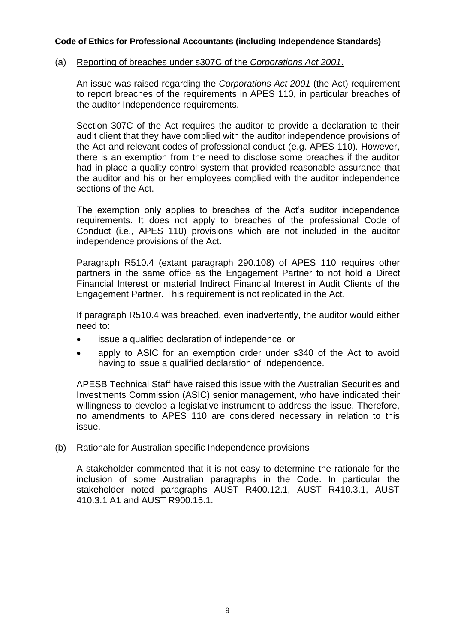#### (a) Reporting of breaches under s307C of the *Corporations Act 2001*.

An issue was raised regarding the *Corporations Act 2001* (the Act) requirement to report breaches of the requirements in APES 110, in particular breaches of the auditor Independence requirements.

Section 307C of the Act requires the auditor to provide a declaration to their audit client that they have complied with the auditor independence provisions of the Act and relevant codes of professional conduct (e.g. APES 110). However, there is an exemption from the need to disclose some breaches if the auditor had in place a quality control system that provided reasonable assurance that the auditor and his or her employees complied with the auditor independence sections of the Act.

The exemption only applies to breaches of the Act's auditor independence requirements. It does not apply to breaches of the professional Code of Conduct (i.e., APES 110) provisions which are not included in the auditor independence provisions of the Act.

Paragraph R510.4 (extant paragraph 290.108) of APES 110 requires other partners in the same office as the Engagement Partner to not hold a Direct Financial Interest or material Indirect Financial Interest in Audit Clients of the Engagement Partner. This requirement is not replicated in the Act.

If paragraph R510.4 was breached, even inadvertently, the auditor would either need to:

- issue a qualified declaration of independence, or
- apply to ASIC for an exemption order under s340 of the Act to avoid having to issue a qualified declaration of Independence.

APESB Technical Staff have raised this issue with the Australian Securities and Investments Commission (ASIC) senior management, who have indicated their willingness to develop a legislative instrument to address the issue. Therefore, no amendments to APES 110 are considered necessary in relation to this issue.

#### (b) Rationale for Australian specific Independence provisions

A stakeholder commented that it is not easy to determine the rationale for the inclusion of some Australian paragraphs in the Code. In particular the stakeholder noted paragraphs AUST R400.12.1, AUST R410.3.1, AUST 410.3.1 A1 and AUST R900.15.1.